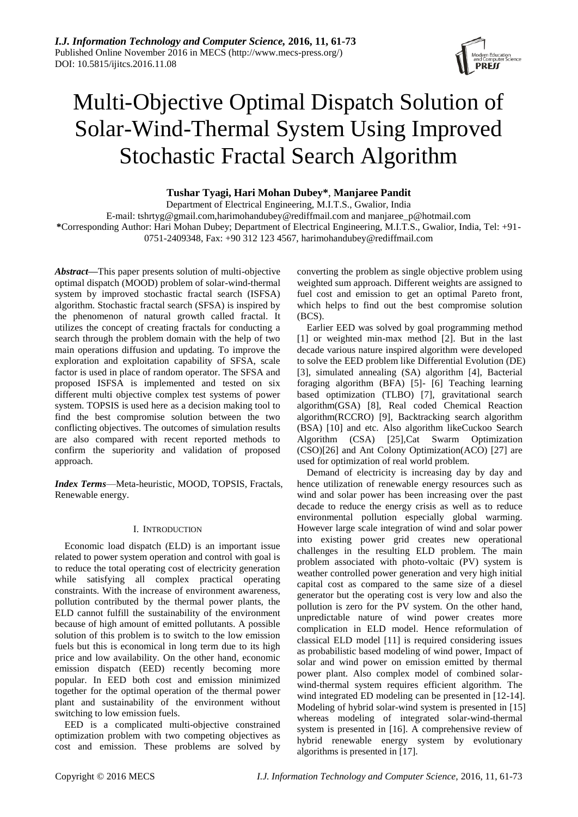# Multi-Objective Optimal Dispatch Solution of Solar-Wind-Thermal System Using Improved Stochastic Fractal Search Algorithm

# **Tushar Tyagi, Hari Mohan Dubey\***, **Manjaree Pandit**

Department of Electrical Engineering, M.I.T.S., Gwalior, India E-mail: tshrtyg@gmail.com,harimohandubey@rediffmail.com and manjaree\_p@hotmail.com **\***Corresponding Author: Hari Mohan Dubey; Department of Electrical Engineering, M.I.T.S., Gwalior, India, Tel: +91- 0751-2409348, Fax: +90 312 123 4567, [harimohandubey@rediffmail.com](mailto:harimohandubey@rediffmail.com)

*Abstract***—**This paper presents solution of multi-objective optimal dispatch (MOOD) problem of solar-wind-thermal system by improved stochastic fractal search (ISFSA) algorithm. Stochastic fractal search (SFSA) is inspired by the phenomenon of natural growth called fractal. It utilizes the concept of creating fractals for conducting a search through the problem domain with the help of two main operations diffusion and updating. To improve the exploration and exploitation capability of SFSA, scale factor is used in place of random operator. The SFSA and proposed ISFSA is implemented and tested on six different multi objective complex test systems of power system. TOPSIS is used here as a decision making tool to find the best compromise solution between the two conflicting objectives. The outcomes of simulation results are also compared with recent reported methods to confirm the superiority and validation of proposed approach.

*Index Terms*—Meta-heuristic, MOOD, TOPSIS, Fractals, Renewable energy.

### I. INTRODUCTION

Economic load dispatch (ELD) is an important issue related to power system operation and control with goal is to reduce the total operating cost of electricity generation while satisfying all complex practical operating constraints. With the increase of environment awareness, pollution contributed by the thermal power plants, the ELD cannot fulfill the sustainability of the environment because of high amount of emitted pollutants. A possible solution of this problem is to switch to the low emission fuels but this is economical in long term due to its high price and low availability. On the other hand, economic emission dispatch (EED) recently becoming more popular. In EED both cost and emission minimized together for the optimal operation of the thermal power plant and sustainability of the environment without switching to low emission fuels.

EED is a complicated multi-objective constrained optimization problem with two competing objectives as cost and emission. These problems are solved by converting the problem as single objective problem using weighted sum approach. Different weights are assigned to fuel cost and emission to get an optimal Pareto front, which helps to find out the best compromise solution (BCS).

Earlier EED was solved by goal programming method [1] or weighted min-max method [2]. But in the last decade various nature inspired algorithm were developed to solve the EED problem like Differential Evolution (DE) [3], simulated annealing (SA) algorithm [4], Bacterial foraging algorithm (BFA) [5]- [6] Teaching learning based optimization (TLBO) [7], gravitational search algorithm(GSA) [8], Real coded Chemical Reaction algorithm(RCCRO) [9], Backtracking search algorithm (BSA) [10] and etc. Also algorithm likeCuckoo Search Algorithm (CSA) [25],Cat Swarm Optimization (CSO)[26] and Ant Colony Optimization(ACO) [27] are used for optimization of real world problem.

Demand of electricity is increasing day by day and hence utilization of renewable energy resources such as wind and solar power has been increasing over the past decade to reduce the energy crisis as well as to reduce environmental pollution especially global warming. However large scale integration of wind and solar power into existing power grid creates new operational challenges in the resulting ELD problem. The main problem associated with photo-voltaic (PV) system is weather controlled power generation and very high initial capital cost as compared to the same size of a diesel generator but the operating cost is very low and also the pollution is zero for the PV system. On the other hand, unpredictable nature of wind power creates more complication in ELD model. Hence reformulation of classical ELD model [11] is required considering issues as probabilistic based modeling of wind power, Impact of solar and wind power on emission emitted by thermal power plant. Also complex model of combined solarwind-thermal system requires efficient algorithm. The wind integrated ED modeling can be presented in [12-14]. Modeling of hybrid solar-wind system is presented in [15] whereas modeling of integrated solar-wind-thermal system is presented in [16]. A comprehensive review of hybrid renewable energy system by evolutionary algorithms is presented in [17].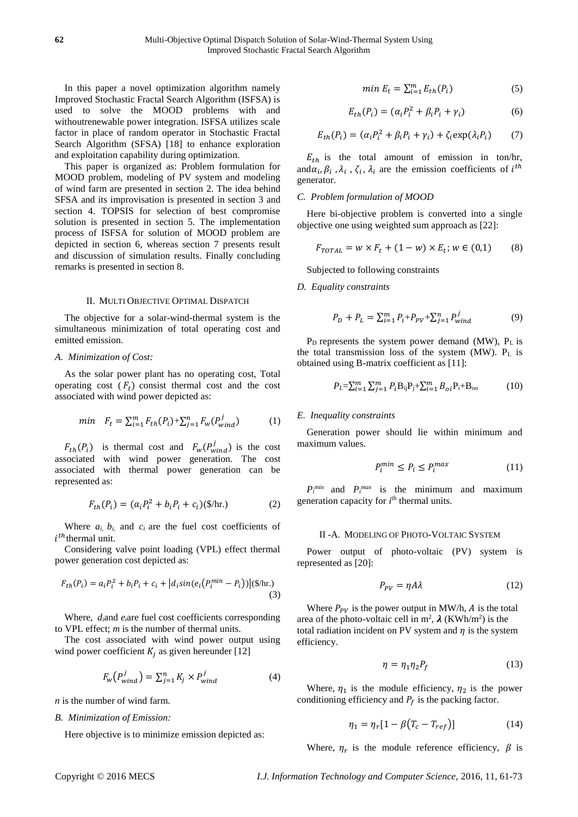In this paper a novel optimization algorithm namely Improved Stochastic Fractal Search Algorithm (ISFSA) is used to solve the MOOD problems with and withoutrenewable power integration. ISFSA utilizes scale factor in place of random operator in Stochastic Fractal Search Algorithm (SFSA) [18] to enhance exploration and exploitation capability during optimization.

This paper is organized as: Problem formulation for MOOD problem, modeling of PV system and modeling of wind farm are presented in section 2. The idea behind SFSA and its improvisation is presented in section 3 and section 4. TOPSIS for selection of best compromise solution is presented in section 5. The implementation process of ISFSA for solution of MOOD problem are depicted in section 6, whereas section 7 presents result and discussion of simulation results. Finally concluding remarks is presented in section 8.

#### II. MULTI OBJECTIVE OPTIMAL DISPATCH

The objective for a solar-wind-thermal system is the simultaneous minimization of total operating cost and emitted emission.

#### *A. Minimization of Cost:*

As the solar power plant has no operating cost, Total operating cost  $(F_t)$  consist thermal cost and the cost associated with wind power depicted as:

$$
min \quad F_t = \sum_{i=1}^{m} F_{th}(P_i) + \sum_{j=1}^{n} F_w(P_{wind}^j)
$$
 (1)

 $F_{th}(P_i)$  is thermal cost and  $F_w(P_{wind}^j)$  is the cost associated with wind power generation. The cost associated with thermal power generation can be represented as:

$$
F_{th}(P_i) = (a_i P_i^2 + b_i P_i + c_i)(\$/\text{hr.})
$$
 (2)

Where  $a_i$ ,  $b_i$ , and  $c_i$  are the fuel cost coefficients of  $i^{th}$ thermal unit.

Considering valve point loading (VPL) effect thermal power generation cost depicted as:

$$
F_{th}(P_i) = a_i P_i^2 + b_i P_i + c_i + |d_i \sin(e_i (P_i^{min} - P_i))| (\text{S/hr.})
$$
\n(3)

Where, *di*and *ei*are fuel cost coefficients corresponding to VPL effect; *m* is the number of thermal units.

The cost associated with wind power output using wind power coefficient  $K_i$  as given hereunder [12]

$$
F_w(P_{wind}^j) = \sum_{j=1}^n K_j \times P_{wind}^j \tag{4}
$$

*n* is the number of wind farm.

#### *B. Minimization of Emission:*

Here objective is to minimize emission depicted as:

$$
min E_t = \sum_{i=1}^{m} E_{th}(P_i)
$$
\n(5)

$$
E_{th}(P_i) = (\alpha_i P_i^2 + \beta_i P_i + \gamma_i)
$$
 (6)

$$
E_{th}(P_i) = (\alpha_i P_i^2 + \beta_i P_i + \gamma_i) + \zeta_i \exp(\lambda_i P_i)
$$
 (7)

 $E_{th}$  is the total amount of emission in ton/hr, and  $\alpha_i$ ,  $\beta_i$ ,  $\lambda_i$ ,  $\zeta_i$ ,  $\lambda_i$  are the emission coefficients of  $i^{th}$ generator.

# *C. Problem formulation of MOOD*

Here bi-objective problem is converted into a single objective one using weighted sum approach as [22]:

$$
F_{TOTAL} = w \times F_t + (1 - w) \times E_t; w \in (0, 1)
$$
 (8)

Subjected to following constraints

*D. Equality constraints*

$$
P_D + P_L = \sum_{i=1}^{m} P_i + P_{PV} + \sum_{j=1}^{n} P_{wind}^{j}
$$
 (9)

 $P_D$  represents the system power demand (MW),  $P_L$  is the total transmission loss of the system (MW). P<sup>L</sup> is obtained using B-matrix coefficient as [11]:

$$
P_L = \sum_{i=1}^{m} \sum_{j=1}^{m} P_i B_{ij} P_j + \sum_{i=1}^{m} B_{oi} P_i + B_{oo}
$$
 (10)

#### *E. Inequality constraints*

Generation power should lie within minimum and maximum values.

$$
P_i^{min} \le P_i \le P_i^{max} \tag{11}
$$

 $P_i^{min}$  and  $P_i^{max}$  is the minimum and maximum generation capacity for  $i<sup>th</sup>$  thermal units.

#### II -A. MODELING OF PHOTO-VOLTAIC SYSTEM

Power output of photo-voltaic (PV) system is represented as [20]:

$$
P_{PV} = \eta A \lambda \tag{12}
$$

Where  $P_{PV}$  is the power output in MW/h, A is the total area of the photo-voltaic cell in  $m^2$ ,  $\lambda$  (KWh/m<sup>2</sup>) is the total radiation incident on PV system and  $\eta$  is the system efficiency.

$$
\eta = \eta_1 \eta_2 P_f \tag{13}
$$

Where,  $\eta_1$  is the module efficiency,  $\eta_2$  is the power conditioning efficiency and  $P_f$  is the packing factor.

$$
\eta_1 = \eta_r [1 - \beta (T_c - T_{ref})]
$$
 (14)

Where,  $\eta_r$  is the module reference efficiency,  $\beta$  is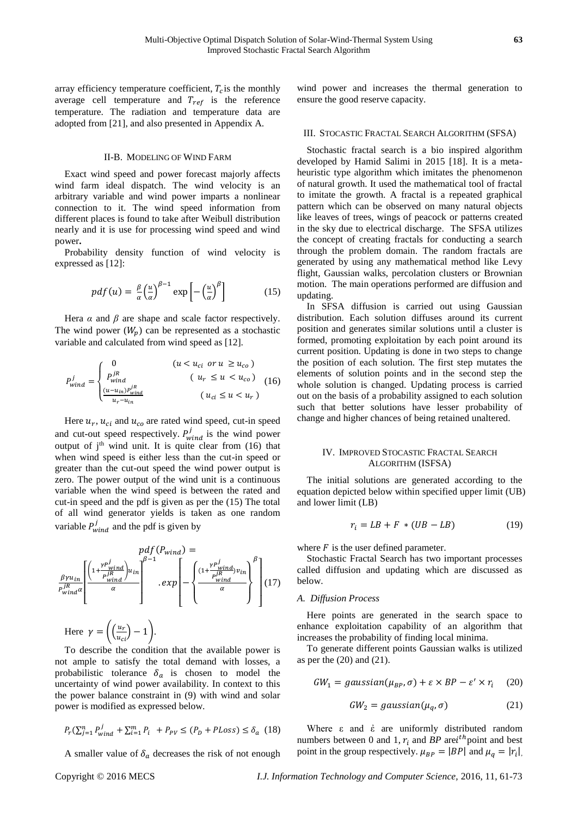array efficiency temperature coefficient,  $T_c$  is the monthly average cell temperature and  $T_{ref}$  is the reference temperature. The radiation and temperature data are adopted from [21], and also presented in Appendix A.

#### II-B. MODELING OF WIND FARM

Exact wind speed and power forecast majorly affects wind farm ideal dispatch. The wind velocity is an arbitrary variable and wind power imparts a nonlinear connection to it. The wind speed information from different places is found to take after Weibull distribution nearly and it is use for processing wind speed and wind power**.**

Probability density function of wind velocity is expressed as [12]:

$$
pdf(u) = \frac{\beta}{\alpha} \left(\frac{u}{\alpha}\right)^{\beta - 1} \exp\left[-\left(\frac{u}{\alpha}\right)^{\beta}\right]
$$
 (15)

Hera  $\alpha$  and  $\beta$  are shape and scale factor respectively. The wind power  $(W_n)$  can be represented as a stochastic variable and calculated from wind speed as [12].

$$
P_{wind}^{j} = \begin{cases} 0 & (u < u_{ci} \text{ or } u \ge u_{co}) \\ P_{wind}^{jR} & (u_r \le u < u_{co}) \\ \frac{(u - u_{in})P_{wind}^{jR}}{u_r - u_{in}} & (u_{ci} \le u < u_r) \end{cases}
$$
 (16)

Here  $u_r$ ,  $u_{ci}$  and  $u_{co}$  are rated wind speed, cut-in speed and cut-out speed respectively.  $P_{wind}^{j}$  is the wind power output of  $j<sup>th</sup>$  wind unit. It is quite clear from (16) that when wind speed is either less than the cut-in speed or greater than the cut-out speed the wind power output is zero. The power output of the wind unit is a continuous variable when the wind speed is between the rated and cut-in speed and the pdf is given as per the (15) The total of all wind generator yields is taken as one random variable  $P_{wind}^{j}$  and the pdf is given by

$$
pdf(P_{wind}) = \frac{\beta \gamma u_{in}}{P_{wind}^{jk} \alpha} \left[ \frac{\left(1 + \frac{\gamma P_{wind}^{j}}{P_{wind}^{jk}}\right) u_{in}}{\alpha} \right]^{\beta - 1} . exp\left[ - \left\{ \frac{\left(1 + \frac{\gamma P_{wind}^{j}}{P_{wind}^{jk}}\right) v_{in}}{\alpha} \right\}^{\beta} \right] (17)
$$
  
Here  $\gamma = \left( \frac{u_r}{u_{ci}} \right) - 1 \right)$ .

To describe the condition that the available power is not ample to satisfy the total demand with losses, a probabilistic tolerance  $\delta_a$  is chosen to model the uncertainty of wind power availability. In context to this the power balance constraint in (9) with wind and solar power is modified as expressed below.

$$
P_r(\sum_{j=1}^n P_{wind}^j + \sum_{i=1}^m P_i + P_{PV} \le (P_D + PLoss) \le \delta_a \ (18)
$$

A smaller value of  $\delta_a$  decreases the risk of not enough

wind power and increases the thermal generation to ensure the good reserve capacity.

#### III. STOCASTIC FRACTAL SEARCH ALGORITHM (SFSA)

Stochastic fractal search is a bio inspired algorithm developed by Hamid Salimi in 2015 [18]. It is a metaheuristic type algorithm which imitates the phenomenon of natural growth. It used the mathematical tool of fractal to imitate the growth. A fractal is a repeated graphical pattern which can be observed on many natural objects like leaves of trees, wings of peacock or patterns created in the sky due to electrical discharge. The SFSA utilizes the concept of creating fractals for conducting a search through the problem domain. The random fractals are generated by using any mathematical method like Levy flight, Gaussian walks, percolation clusters or Brownian motion. The main operations performed are diffusion and updating.

In SFSA diffusion is carried out using Gaussian distribution. Each solution diffuses around its current position and generates similar solutions until a cluster is formed, promoting exploitation by each point around its current position. Updating is done in two steps to change the position of each solution. The first step mutates the elements of solution points and in the second step the whole solution is changed. Updating process is carried out on the basis of a probability assigned to each solution such that better solutions have lesser probability of change and higher chances of being retained unaltered.

#### IV. IMPROVED STOCASTIC FRACTAL SEARCH ALGORITHM (ISFSA)

The initial solutions are generated according to the equation depicted below within specified upper limit (UB) and lower limit (LB)

$$
r_i = LB + F \cdot (UB - LB) \tag{19}
$$

where  $F$  is the user defined parameter.

Stochastic Fractal Search has two important processes called diffusion and updating which are discussed as below.

### *A. Diffusion Process*

Here points are generated in the search space to enhance exploitation capability of an algorithm that increases the probability of finding local minima.

To generate different points Gaussian walks is utilized as per the (20) and (21).

$$
GW_1 = gaussian(\mu_{BP}, \sigma) + \varepsilon \times BP - \varepsilon' \times r_i \quad (20)
$$

$$
GW_2 = gaussian(\mu_q, \sigma) \tag{21}
$$

Where ε and ἐ are uniformly distributed random numbers between 0 and 1,  $r_i$  and *BP* are *i*<sup>th</sup> point and best point in the group respectively.  $\mu_{BP} = |BP|$  and  $\mu_q = |r_i|$ .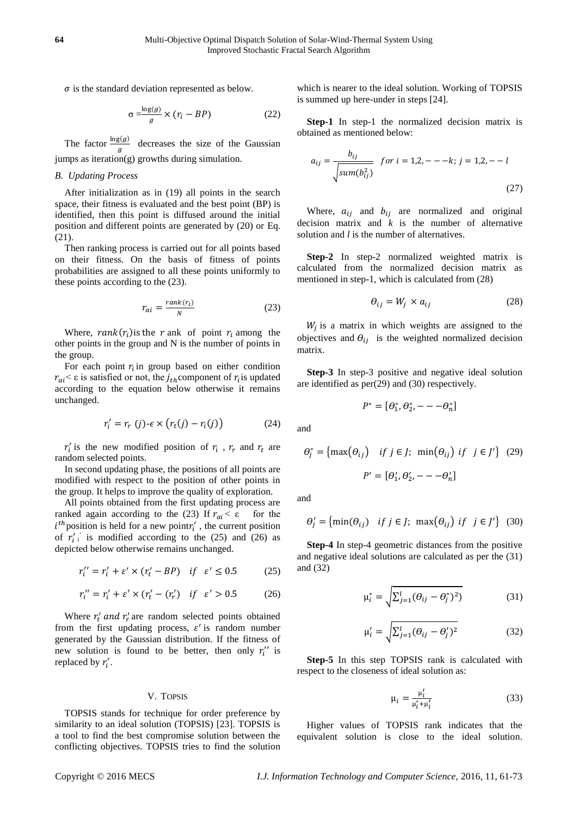$\sigma$  is the standard deviation represented as below.

$$
\sigma \frac{\log(g)}{g} \times (r_i - BP) \tag{22}
$$

The factor  $\frac{\log(g)}{g}$  decreases the size of the Gaussian jumps as iteration $(g)$  growths during simulation.

#### *B. Updating Process*

After initialization as in (19) all points in the search space, their fitness is evaluated and the best point (BP) is identified, then this point is diffused around the initial position and different points are generated by (20) or Eq. (21).

Then ranking process is carried out for all points based on their fitness. On the basis of fitness of points probabilities are assigned to all these points uniformly to these points according to the (23).

$$
r_{ai} = \frac{rank(r_i)}{N} \tag{23}
$$

Where,  $rank(r_i)$  is the r ank of point  $r_i$  among the other points in the group and N is the number of points in the group.

For each point  $r_i$  in group based on either condition  $r_{ai} < \varepsilon$  is satisfied or not, the  $j_{th}$  component of  $r_i$  is updated according to the equation below otherwise it remains unchanged.

$$
r'_{i} = r_{r}(j) - \epsilon \times (r_{t}(j) - r_{i}(j))
$$
 (24)

 $r_i$  is the new modified position of  $r_i$ ,  $r_r$  and  $r_t$  are random selected points.

In second updating phase, the positions of all points are modified with respect to the position of other points in the group. It helps to improve the quality of exploration.

All points obtained from the first updating process are ranked again according to the (23) If  $r_{ai} < ε$  for the  $i^{th}$  position is held for a new point $r'_i$ , the current position of  $r'_{i}$  is modified according to the (25) and (26) as depicted below otherwise remains unchanged.

$$
r_i'' = r_i' + \varepsilon' \times (r_i' - BP) \quad \text{if} \quad \varepsilon' \le 0.5 \tag{25}
$$

$$
r_i'' = r_i' + \varepsilon' \times (r_i' - (r_i') \quad \text{if} \quad \varepsilon' > 0.5 \tag{26}
$$

Where  $r'_t$  and  $r'_r$  are random selected points obtained from the first updating process,  $\varepsilon'$  is random number generated by the Gaussian distribution. If the fitness of new solution is found to be better, then only  $r_i''$  is replaced by  $r_i'$ .

#### V. TOPSIS

TOPSIS stands for technique for order preference by similarity to an ideal solution (TOPSIS) [23]. TOPSIS is a tool to find the best compromise solution between the conflicting objectives. TOPSIS tries to find the solution which is nearer to the ideal solution. Working of TOPSIS is summed up here-under in steps [24].

**Step-1** In step-1 the normalized decision matrix is obtained as mentioned below:

$$
a_{ij} = \frac{b_{ij}}{\sqrt{\text{sum}(b_{ij}^2)}}
$$
 for  $i = 1, 2, - -k$ ;  $j = 1, 2, -l$  (27)

Where,  $a_{ij}$  and  $b_{ij}$  are normalized and original decision matrix and *k* is the number of alternative solution and *l* is the number of alternatives.

**Step-2** In step-2 normalized weighted matrix is calculated from the normalized decision matrix as mentioned in step-1, which is calculated from (28)

$$
\theta_{ij} = W_j \times a_{ij} \tag{28}
$$

 $W_j$  is a matrix in which weights are assigned to the objectives and  $\theta_{ij}$  is the weighted normalized decision matrix.

**Step-3** In step-3 positive and negative ideal solution are identified as per(29) and (30) respectively.

$$
P^* = [\theta_1^*, \theta_2^* - -\theta_n^*]
$$

and

$$
\theta_j^* = \{ \max(\theta_{ij}) \quad \text{if } j \in J; \min(\theta_{ij}) \text{ if } j \in J' \} \tag{29}
$$
\n
$$
P' = [\theta_1', \theta_2', -\theta_n']
$$

and

$$
\theta'_{j} = \left\{ \min(\theta_{ij}) \quad \text{if } j \in J; \ \max(\theta_{ij}) \text{ if } j \in J' \right\} \tag{30}
$$

**Step-4** In step-4 geometric distances from the positive and negative ideal solutions are calculated as per the (31) and (32)

$$
\mu_i^* = \sqrt{\sum_{j=1}^l (\theta_{ij} - \theta_j^*)^2)}
$$
(31)

$$
\mu_i' = \sqrt{\sum_{j=1}^l (\theta_{ij} - \theta_j')^2}
$$
 (32)

**Step-5** In this step TOPSIS rank is calculated with respect to the closeness of ideal solution as:

$$
\mu_i = \frac{\mu'_i}{\mu_i^* + \mu'_i} \tag{33}
$$

Higher values of TOPSIS rank indicates that the equivalent solution is close to the ideal solution.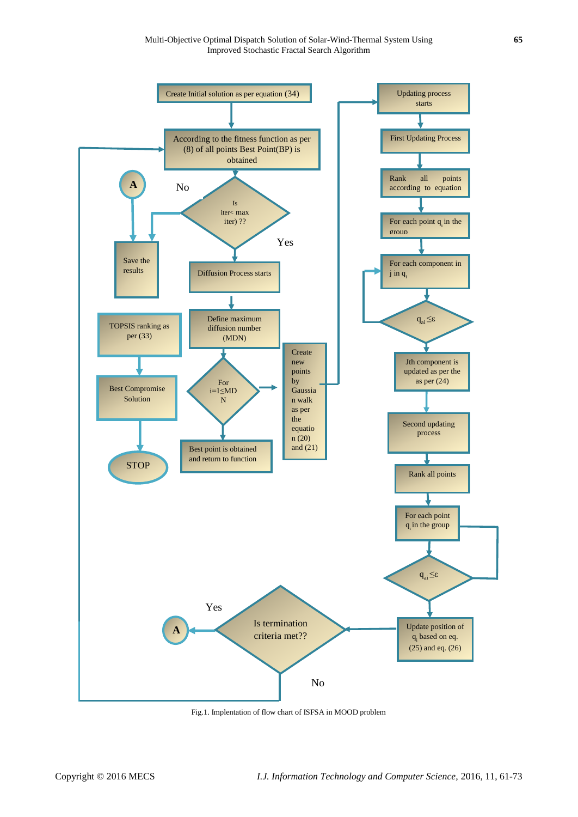

Fig.1. Implentation of flow chart of ISFSA in MOOD problem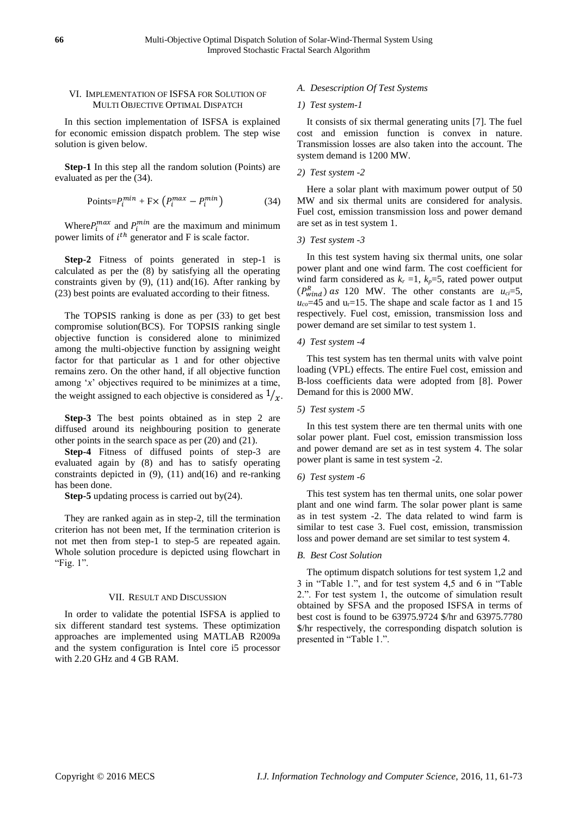# VI. IMPLEMENTATION OF ISFSA FOR SOLUTION OF MULTI OBJECTIVE OPTIMAL DISPATCH

In this section implementation of ISFSA is explained for economic emission dispatch problem. The step wise solution is given below.

**Step-1** In this step all the random solution (Points) are evaluated as per the (34).

$$
Points = P_i^{min} + F \times \left( P_i^{max} - P_i^{min} \right) \tag{34}
$$

Where  $P_i^{max}$  and  $P_i^{min}$  are the maximum and minimum power limits of  $i^{th}$  generator and F is scale factor.

**Step-2** Fitness of points generated in step-1 is calculated as per the (8) by satisfying all the operating constraints given by  $(9)$ ,  $(11)$  and $(16)$ . After ranking by (23) best points are evaluated according to their fitness.

The TOPSIS ranking is done as per (33) to get best compromise solution(BCS). For TOPSIS ranking single objective function is considered alone to minimized among the multi-objective function by assigning weight factor for that particular as 1 and for other objective remains zero. On the other hand, if all objective function among '*x*' objectives required to be minimizes at a time, the weight assigned to each objective is considered as  $1/x$ .

**Step-3** The best points obtained as in step 2 are diffused around its neighbouring position to generate other points in the search space as per (20) and (21).

**Step-4** Fitness of diffused points of step-3 are evaluated again by (8) and has to satisfy operating constraints depicted in  $(9)$ ,  $(11)$  and $(16)$  and re-ranking has been done.

**Step-5** updating process is carried out by(24).

They are ranked again as in step-2, till the termination criterion has not been met, If the termination criterion is not met then from step-1 to step-5 are repeated again. Whole solution procedure is depicted using flowchart in "Fig. 1".

### VII. RESULT AND DISCUSSION

In order to validate the potential ISFSA is applied to six different standard test systems. These optimization approaches are implemented using MATLAB R2009a and the system configuration is Intel core i5 processor with 2.20 GHz and 4 GB RAM.

# *A. Desescription Of Test Systems*

#### *1) Test system-1*

It consists of six thermal generating units [7]. The fuel cost and emission function is convex in nature. Transmission losses are also taken into the account. The system demand is 1200 MW.

### *2) Test system -2*

Here a solar plant with maximum power output of 50 MW and six thermal units are considered for analysis. Fuel cost, emission transmission loss and power demand are set as in test system 1.

# *3) Test system -3*

In this test system having six thermal units, one solar power plant and one wind farm. The cost coefficient for wind farm considered as  $k_r = 1$ ,  $k_p = 5$ , rated power output  $(P_{wind}^R)$  as 120 MW. The other constants are  $u_{ci} = 5$ ,  $u_{co}$ =45 and  $u_r$ =15. The shape and scale factor as 1 and 15 respectively. Fuel cost, emission, transmission loss and power demand are set similar to test system 1.

# *4) Test system -4*

This test system has ten thermal units with valve point loading (VPL) effects. The entire Fuel cost, emission and B-loss coefficients data were adopted from [8]. Power Demand for this is 2000 MW.

#### *5) Test system -5*

In this test system there are ten thermal units with one solar power plant. Fuel cost, emission transmission loss and power demand are set as in test system 4. The solar power plant is same in test system -2.

### *6) Test system -6*

This test system has ten thermal units, one solar power plant and one wind farm. The solar power plant is same as in test system -2. The data related to wind farm is similar to test case 3. Fuel cost, emission, transmission loss and power demand are set similar to test system 4.

### *B. Best Cost Solution*

The optimum dispatch solutions for test system 1,2 and 3 in "Table 1.", and for test system 4,5 and 6 in "Table 2.". For test system 1, the outcome of simulation result obtained by SFSA and the proposed ISFSA in terms of best cost is found to be 63975.9724 \$/hr and 63975.7780 \$/hr respectively, the corresponding dispatch solution is presented in "Table 1.".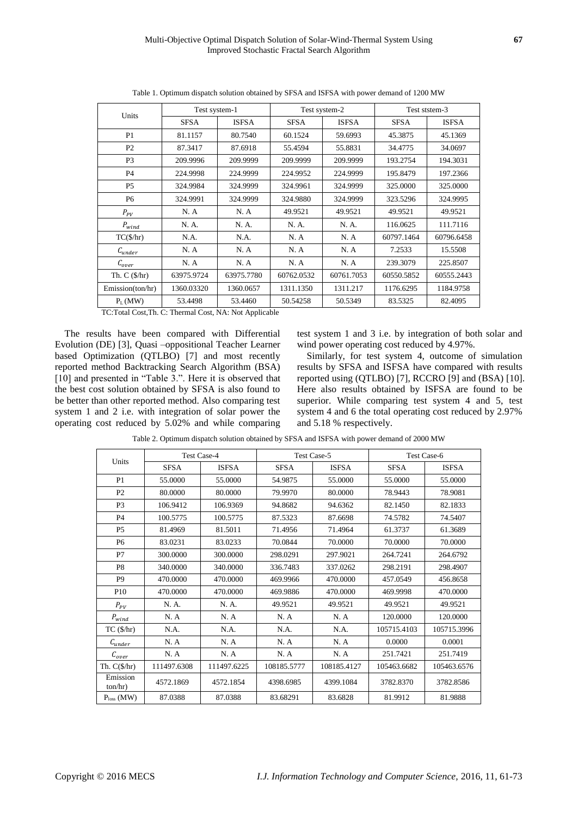| Units                 | Test system-1 |              | Test system-2 |              | Test ststem-3 |              |
|-----------------------|---------------|--------------|---------------|--------------|---------------|--------------|
|                       | SFSA          | <b>ISFSA</b> | <b>SFSA</b>   | <b>ISFSA</b> | <b>SFSA</b>   | <b>ISFSA</b> |
| P1                    | 81.1157       | 80.7540      | 60.1524       | 59.6993      | 45.3875       | 45.1369      |
| P <sub>2</sub>        | 87.3417       | 87.6918      | 55.4594       | 55.8831      | 34.4775       | 34.0697      |
| P <sub>3</sub>        | 209.9996      | 209.9999     | 209.9999      | 209.9999     | 193.2754      | 194.3031     |
| <b>P4</b>             | 224.9998      | 224.9999     | 224.9952      | 224.9999     | 195.8479      | 197.2366     |
| P <sub>5</sub>        | 324.9984      | 324.9999     | 324.9961      | 324.9999     | 325,0000      | 325,0000     |
| P <sub>6</sub>        | 324.9991      | 324.9999     | 324.9880      | 324.9999     | 323.5296      | 324.9995     |
| $P_{PV}$              | N. A          | N. A         | 49.9521       | 49.9521      | 49.9521       | 49.9521      |
| $P_{wind}$            | N. A.         | N. A.        | N. A.         | N. A.        | 116.0625      | 111.7116     |
| $TC(\frac{5}{hr})$    | N.A.          | N.A.         | N. A          | N. A         | 60797.1464    | 60796.6458   |
| $\mathcal{C}_{under}$ | N. A          | N. A         | N.A           | N. A         | 7.2533        | 15.5508      |
| $\mathcal{C}_{over}$  | N. A          | N. A         | N. A          | N. A         | 239.3079      | 225.8507     |
| Th. $C(S/hr)$         | 63975.9724    | 63975.7780   | 60762.0532    | 60761.7053   | 60550.5852    | 60555.2443   |
| Emission(ton/hr)      | 1360.03320    | 1360.0657    | 1311.1350     | 1311.217     | 1176.6295     | 1184.9758    |
| $P_L(MW)$             | 53.4498       | 53.4460      | 50.54258      | 50.5349      | 83.5325       | 82.4095      |

Table 1. Optimum dispatch solution obtained by SFSA and ISFSA with power demand of 1200 MW

TC:Total Cost,Th. C: Thermal Cost, NA: Not Applicable

The results have been compared with Differential Evolution (DE) [3], Quasi –oppositional Teacher Learner based Optimization (QTLBO) [7] and most recently reported method Backtracking Search Algorithm (BSA) [10] and presented in "Table 3.". Here it is observed that the best cost solution obtained by SFSA is also found to be better than other reported method. Also comparing test system 1 and 2 i.e. with integration of solar power the operating cost reduced by 5.02% and while comparing test system 1 and 3 i.e. by integration of both solar and wind power operating cost reduced by 4.97%.

Similarly, for test system 4, outcome of simulation results by SFSA and ISFSA have compared with results reported using (QTLBO) [7], RCCRO [9] and (BSA) [10]. Here also results obtained by ISFSA are found to be superior. While comparing test system 4 and 5, test system 4 and 6 the total operating cost reduced by 2.97% and 5.18 % respectively.

Table 2. Optimum dispatch solution obtained by SFSA and ISFSA with power demand of 2000 MW

| Units                                                       | <b>Test Case-4</b> |              | Test Case-5 |              | Test Case-6 |              |
|-------------------------------------------------------------|--------------------|--------------|-------------|--------------|-------------|--------------|
|                                                             | <b>SFSA</b>        | <b>ISFSA</b> | <b>SFSA</b> | <b>ISFSA</b> | <b>SFSA</b> | <b>ISFSA</b> |
| P <sub>1</sub>                                              | 55,0000            | 55.0000      | 54.9875     | 55.0000      | 55.0000     | 55.0000      |
| P <sub>2</sub>                                              | 80,0000            | 80.0000      | 79.9970     | 80.0000      | 78.9443     | 78.9081      |
| P <sub>3</sub>                                              | 106.9412           | 106.9369     | 94.8682     | 94.6362      | 82.1450     | 82.1833      |
| P <sub>4</sub>                                              | 100.5775           | 100.5775     | 87.5323     | 87.6698      | 74.5782     | 74.5407      |
| <b>P5</b>                                                   | 81.4969            | 81.5011      | 71.4956     | 71.4964      | 61.3737     | 61.3689      |
| P <sub>6</sub>                                              | 83.0231            | 83.0233      | 70.0844     | 70.0000      | 70.0000     | 70.0000      |
| P7                                                          | 300,0000           | 300,0000     | 298.0291    | 297.9021     | 264.7241    | 264.6792     |
| P <sub>8</sub>                                              | 340,0000           | 340,0000     | 336.7483    | 337.0262     | 298.2191    | 298.4907     |
| P <sub>9</sub>                                              | 470,0000           | 470,0000     | 469.9966    | 470,0000     | 457.0549    | 456.8658     |
| P <sub>10</sub>                                             | 470,0000           | 470,0000     | 469.9886    | 470.0000     | 469.9998    | 470,0000     |
| $P_{PV}$                                                    | N. A.              | N. A.        | 49.9521     | 49.9521      | 49.9521     | 49.9521      |
| $P_{wind}$                                                  | N.A                | N. A         | N.A         | N.A          | 120.0000    | 120,0000     |
| $TC$ ( $\frac{1}{2}$ hr)                                    | N.A.               | N.A.         | N.A.        | N.A.         | 105715.4103 | 105715.3996  |
| $C_{under}$                                                 | N.A                | N. A         | N.A         | N. A         | 0.0000      | 0.0001       |
| $\mathcal{C}_{o \underline{v} \underline{e} \underline{r}}$ | N.A                | N.A          | N.A         | N.A          | 251.7421    | 251.7419     |
| Th. $C(\frac{5}{hr})$                                       | 111497.6308        | 111497.6225  | 108185.5777 | 108185.4127  | 105463.6682 | 105463.6576  |
| Emission<br>ton/hr)                                         | 4572.1869          | 4572.1854    | 4398.6985   | 4399.1084    | 3782.8370   | 3782.8586    |
| $Ploss$ (MW)                                                | 87.0388            | 87.0388      | 83.68291    | 83.6828      | 81.9912     | 81.9888      |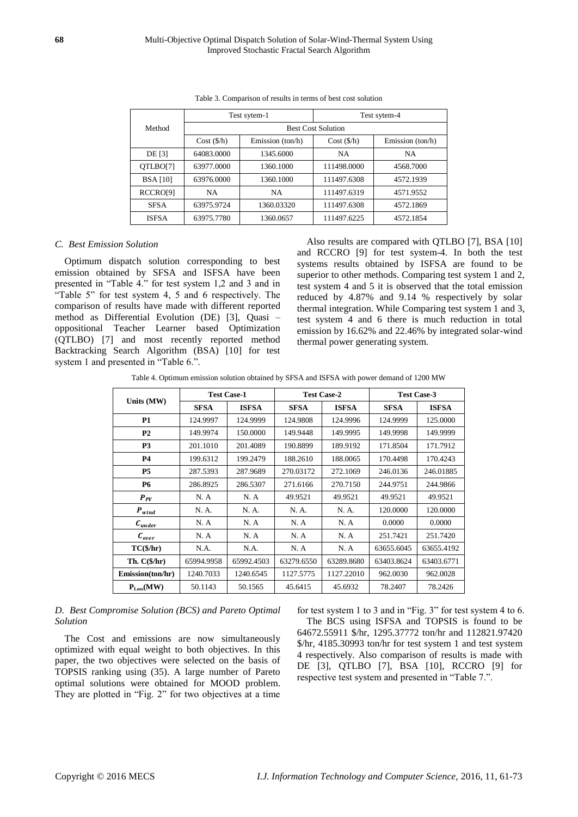|                      |                           | Test sytem-1     | Test sytem-4 |                  |  |
|----------------------|---------------------------|------------------|--------------|------------------|--|
| Method               | <b>Best Cost Solution</b> |                  |              |                  |  |
|                      | Cost(S/h)                 | Emission (ton/h) | Cost(S/h)    | Emission (ton/h) |  |
| DE [3]               | 64083,0000                | 1345.6000        | <b>NA</b>    | <b>NA</b>        |  |
| OTLBO[7]             | 63977.0000                | 1360.1000        | 111498.0000  | 4568.7000        |  |
| <b>BSA</b> [10]      | 63976.0000                | 1360.1000        | 111497.6308  | 4572.1939        |  |
| RCCRO <sub>[9]</sub> | <b>NA</b>                 | <b>NA</b>        | 111497.6319  | 4571.9552        |  |
| <b>SFSA</b>          | 63975.9724                | 1360.03320       | 111497.6308  | 4572.1869        |  |
| <b>ISESA</b>         | 63975.7780                | 1360.0657        | 111497.6225  | 4572.1854        |  |

| Table 3. Comparison of results in terms of best cost solution |  |  |  |
|---------------------------------------------------------------|--|--|--|
|---------------------------------------------------------------|--|--|--|

#### *C. Best Emission Solution*

Optimum dispatch solution corresponding to best emission obtained by SFSA and ISFSA have been presented in "Table 4." for test system 1,2 and 3 and in "Table 5" for test system 4, 5 and 6 respectively. The comparison of results have made with different reported method as Differential Evolution (DE) [3], Quasi – oppositional Teacher Learner based Optimization (QTLBO) [7] and most recently reported method Backtracking Search Algorithm (BSA) [10] for test system 1 and presented in "Table 6.".

Also results are compared with QTLBO [7], BSA [10] and RCCRO [9] for test system-4. In both the test systems results obtained by ISFSA are found to be superior to other methods. Comparing test system 1 and 2, test system 4 and 5 it is observed that the total emission reduced by 4.87% and 9.14 % respectively by solar thermal integration. While Comparing test system 1 and 3, test system 4 and 6 there is much reduction in total emission by 16.62% and 22.46% by integrated solar-wind thermal power generating system.

Table 4. Optimum emission solution obtained by SFSA and ISFSA with power demand of 1200 MW

|                        | <b>Test Case-1</b> |              | <b>Test Case-2</b> |              | <b>Test Case-3</b> |              |
|------------------------|--------------------|--------------|--------------------|--------------|--------------------|--------------|
| Units (MW)             | <b>SFSA</b>        | <b>ISFSA</b> | <b>SFSA</b>        | <b>ISFSA</b> | <b>SFSA</b>        | <b>ISFSA</b> |
| <b>P1</b>              | 124.9997           | 124.9999     | 124.9808           | 124.9996     | 124.9999           | 125.0000     |
| P <sub>2</sub>         | 149.9974           | 150,0000     | 149.9448           | 149.9995     | 149.9998           | 149.9999     |
| P <sub>3</sub>         | 201.1010           | 201.4089     | 190.8899           | 189.9192     | 171.8504           | 171.7912     |
| <b>P4</b>              | 199.6312           | 199.2479     | 188.2610           | 188,0065     | 170.4498           | 170.4243     |
| <b>P5</b>              | 287.5393           | 287.9689     | 270.03172          | 272.1069     | 246.0136           | 246.01885    |
| <b>P6</b>              | 286.8925           | 286.5307     | 271.6166           | 270.7150     | 244.9751           | 244.9866     |
| $P_{PV}$               | N. A               | N. A         | 49.9521            | 49.9521      | 49.9521            | 49.9521      |
| $P_{wind}$             | N. A.              | N. A.        | N. A.              | N. A.        | 120,0000           | 120.0000     |
| $c_{\substack{under}}$ | N. A               | N. A         | N. A               | N. A         | 0.0000             | 0.0000       |
| $c_{over}$             | N. A               | N. A         | N. A               | N. A         | 251.7421           | 251.7420     |
| $TC(\frac{5}{hr})$     | N.A.               | N.A.         | N. A               | N.A          | 63655.6045         | 63655.4192   |
| Th. $C(\frac{5}{hr})$  | 65994.9958         | 65992.4503   | 63279.6550         | 63289.8680   | 63403.8624         | 63403.6771   |
| Emission(ton/hr)       | 1240.7033          | 1240.6545    | 1127.5775          | 1127.22010   | 962.0030           | 962.0028     |
| $P_{Loss}(MW)$         | 50.1143            | 50.1565      | 45.6415            | 45.6932      | 78.2407            | 78.2426      |

# *D. Best Compromise Solution (BCS) and Pareto Optimal Solution*

The Cost and emissions are now simultaneously optimized with equal weight to both objectives. In this paper, the two objectives were selected on the basis of TOPSIS ranking using (35). A large number of Pareto optimal solutions were obtained for MOOD problem. They are plotted in "Fig. 2" for two objectives at a time

for test system 1 to 3 and in "Fig. 3" for test system 4 to 6.

The BCS using ISFSA and TOPSIS is found to be 64672.55911 \$/hr, 1295.37772 ton/hr and 112821.97420 \$/hr, 4185.30993 ton/hr for test system 1 and test system 4 respectively. Also comparison of results is made with DE [3], QTLBO [7], BSA [10], RCCRO [9] for respective test system and presented in "Table 7.".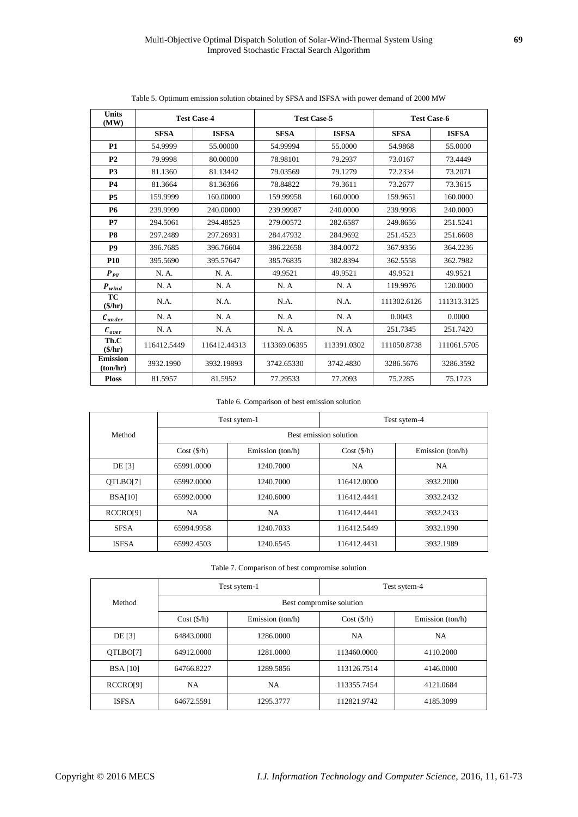| <b>Units</b><br>(MW)               | <b>Test Case-4</b> |              |              | <b>Test Case-5</b> |             | <b>Test Case-6</b> |
|------------------------------------|--------------------|--------------|--------------|--------------------|-------------|--------------------|
|                                    | <b>SFSA</b>        | <b>ISFSA</b> | <b>SFSA</b>  | <b>ISFSA</b>       | <b>SFSA</b> | <b>ISFSA</b>       |
| P1                                 | 54.9999            | 55.00000     | 54.99994     | 55.0000            | 54.9868     | 55.0000            |
| P <sub>2</sub>                     | 79.9998            | 80.00000     | 78.98101     | 79.2937            | 73.0167     | 73.4449            |
| P <sub>3</sub>                     | 81.1360            | 81.13442     | 79.03569     | 79.1279            | 72.2334     | 73.2071            |
| <b>P4</b>                          | 81.3664            | 81.36366     | 78.84822     | 79.3611            | 73.2677     | 73.3615            |
| <b>P5</b>                          | 159.9999           | 160.00000    | 159.99958    | 160,0000           | 159.9651    | 160.0000           |
| <b>P6</b>                          | 239.9999           | 240,00000    | 239.99987    | 240.0000           | 239.9998    | 240,0000           |
| P7                                 | 294.5061           | 294.48525    | 279.00572    | 282.6587           | 249.8656    | 251.5241           |
| P <sub>8</sub>                     | 297.2489           | 297.26931    | 284.47932    | 284.9692           | 251.4523    | 251.6608           |
| P <sub>9</sub>                     | 396.7685           | 396.76604    | 386.22658    | 384.0072           | 367.9356    | 364.2236           |
| <b>P10</b>                         | 395.5690           | 395.57647    | 385.76835    | 382.8394           | 362.5558    | 362.7982           |
| $P_{PV}$                           | N. A.              | N. A.        | 49.9521      | 49.9521            | 49.9521     | 49.9521            |
| $P_{wind}$                         | N.A                | N.A          | N.A          | N.A                | 119.9976    | 120,0000           |
| TC<br>$(\frac{\epsilon}{\hbar})$   | N.A.               | N.A.         | N.A.         | N.A.               | 111302.6126 | 111313.3125        |
| $c_{under}$                        | N.A                | N.A          | N. A         | N.A                | 0.0043      | 0.0000             |
| $c_{\substack{over}}$              | N.A                | N.A          | N.A          | N.A                | 251.7345    | 251.7420           |
| Th.C<br>$(\frac{\epsilon}{\hbar})$ | 116412.5449        | 116412.44313 | 113369.06395 | 113391.0302        | 111050.8738 | 111061.5705        |
| <b>Emission</b><br>(ton/hr)        | 3932.1990          | 3932.19893   | 3742.65330   | 3742.4830          | 3286.5676   | 3286.3592          |
| <b>Ploss</b>                       | 81.5957            | 81.5952      | 77.29533     | 77.2093            | 75.2285     | 75.1723            |

Table 5. Optimum emission solution obtained by SFSA and ISFSA with power demand of 2000 MW

Table 6. Comparison of best emission solution

|                      |                        | Test sytem-1     | Test sytem-4 |                  |  |
|----------------------|------------------------|------------------|--------------|------------------|--|
| Method               | Best emission solution |                  |              |                  |  |
|                      | Cost(S/h)              | Emission (ton/h) | Cost(S/h)    | Emission (ton/h) |  |
| <b>DE</b> [3]        | 65991.0000             | 1240.7000        | NA           | NA               |  |
| QTLBO[7]             | 65992.0000             | 1240.7000        | 116412.0000  | 3932.2000        |  |
| BSA[10]              | 65992.0000             | 1240.6000        | 116412.4441  | 3932.2432        |  |
| RCCRO <sub>[9]</sub> | NA                     | NA               | 116412.4441  | 3932.2433        |  |
| <b>SFSA</b>          | 65994.9958             | 1240.7033        | 116412.5449  | 3932.1990        |  |
| <b>ISESA</b>         | 65992.4503             | 1240.6545        | 116412.4431  | 3932.1989        |  |

Table 7. Comparison of best compromise solution

|                      | Test sytem-1             |                  | Test sytem-4 |                    |  |  |
|----------------------|--------------------------|------------------|--------------|--------------------|--|--|
| Method               | Best compromise solution |                  |              |                    |  |  |
|                      | Cost(S/h)                | Emission (ton/h) | Cost(S/h)    | Emission $(ton/h)$ |  |  |
| DE [3]               | 64843.0000               | 1286.0000        | <b>NA</b>    | <b>NA</b>          |  |  |
| QTLBO[7]             | 64912.0000               | 1281.0000        | 113460.0000  | 4110.2000          |  |  |
| <b>BSA</b> [10]      | 64766.8227               | 1289.5856        | 113126.7514  | 4146.0000          |  |  |
| RCCRO <sup>[9]</sup> | <b>NA</b>                | NA               | 113355.7454  | 4121.0684          |  |  |
| <b>ISFSA</b>         | 64672.5591               | 1295.3777        | 112821.9742  | 4185.3099          |  |  |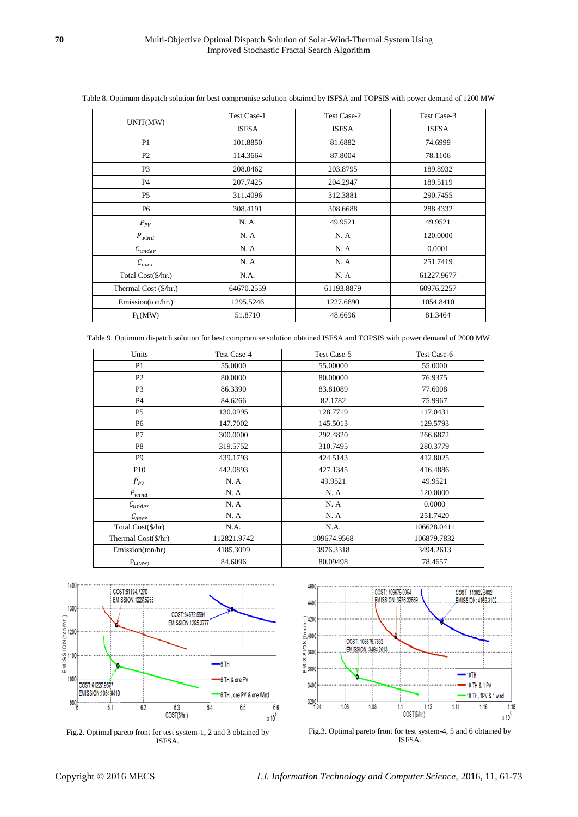| UNIT(MW)              | Test Case-1  | Test Case-2  | Test Case-3  |
|-----------------------|--------------|--------------|--------------|
|                       | <b>ISFSA</b> | <b>ISFSA</b> | <b>ISFSA</b> |
| P <sub>1</sub>        | 101.8850     | 81.6882      | 74.6999      |
| P <sub>2</sub>        | 114.3664     | 87.8004      | 78.1106      |
| P <sub>3</sub>        | 208.0462     | 203.8795     | 189.8932     |
| <b>P4</b>             | 207.7425     | 204.2947     | 189.5119     |
| P <sub>5</sub>        | 311.4096     | 312.3881     | 290.7455     |
| P <sub>6</sub>        | 308.4191     | 308.6688     | 288.4332     |
| $P_{PV}$              | N. A.        | 49.9521      | 49.9521      |
| $P_{wind}$            | N.A          | N. A         | 120.0000     |
| $C_{under}$           | N.A          | N.A          | 0.0001       |
| $\mathcal{C}_{over}$  | N. A         | N. A         | 251.7419     |
| Total Cost(\$/hr.)    | N.A.         | N.A          | 61227.9677   |
| Thermal Cost (\$/hr.) | 64670.2559   | 61193.8879   | 60976.2257   |
| Emission(ton/hr.)     | 1295.5246    | 1227.6890    | 1054.8410    |
| $P_L(MW)$             | 51.8710      | 48.6696      | 81.3464      |

Table 8. Optimum dispatch solution for best compromise solution obtained by ISFSA and TOPSIS with power demand of 1200 MW

Table 9. Optimum dispatch solution for best compromise solution obtained ISFSA and TOPSIS with power demand of 2000 MW

| Units                       | <b>Test Case-4</b> | Test Case-5 | Test Case-6 |
|-----------------------------|--------------------|-------------|-------------|
| P <sub>1</sub>              | 55.0000            | 55.00000    | 55.0000     |
| P <sub>2</sub>              | 80.0000            | 80.00000    | 76.9375     |
| P <sub>3</sub>              | 86.3390            | 83.81089    | 77.6008     |
| <b>P4</b>                   | 84.6266            | 82.1782     | 75.9967     |
| P <sub>5</sub>              | 130.0995           | 128.7719    | 117.0431    |
| P6                          | 147.7002           | 145.5013    | 129.5793    |
| P7                          | 300,0000           | 292.4820    | 266.6872    |
| P8                          | 319.5752           | 310.7495    | 280.3779    |
| P <sub>9</sub>              | 439.1793           | 424.5143    | 412.8025    |
| P <sub>10</sub>             | 442.0893           | 427.1345    | 416.4886    |
| $P_{\scriptscriptstyle PV}$ | N.A                | 49.9521     | 49.9521     |
| $P_{wind}$                  | N.A                | N.A         | 120.0000    |
| $\mathcal{C}_{under}$       | N.A                | N.A         | 0.0000      |
| $\mathcal{C}_{over}$        | N.A                | N.A         | 251.7420    |
| Total Cost(\$/hr)           | N.A.               | N.A.        | 106628.0411 |
| Thermal Cost(\$/hr)         | 112821.9742        | 109674.9568 | 106879.7832 |
| Emission(ton/hr)            | 4185.3099          | 3976.3318   | 3494.2613   |
| $P_{\rm L(MW)}$             | 84.6096            | 80.09498    | 78.4657     |



Fig.2. Optimal pareto front for test system-1, 2 and 3 obtained by ISFSA.



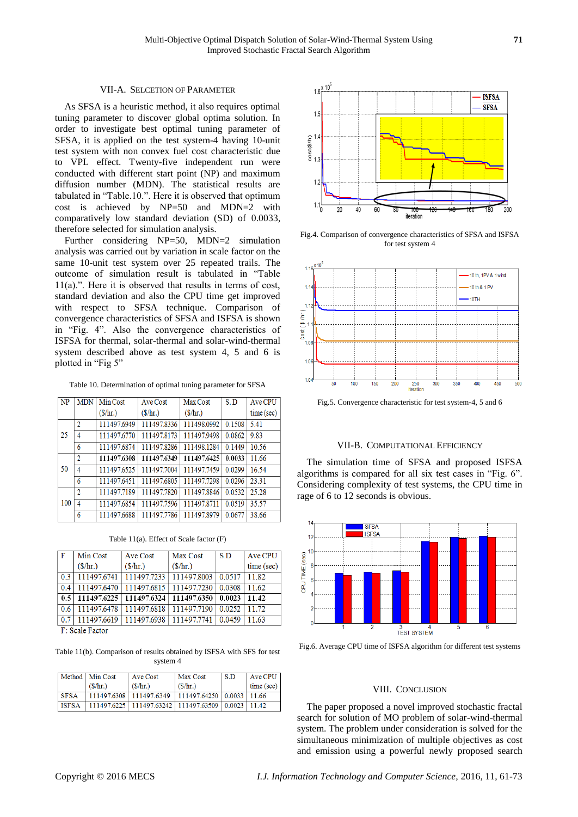# VII-A. SELCETION OF PARAMETER

As SFSA is a heuristic method, it also requires optimal tuning parameter to discover global optima solution. In order to investigate best optimal tuning parameter of SFSA, it is applied on the test system-4 having 10-unit test system with non convex fuel cost characteristic due to VPL effect. Twenty-five independent run were conducted with different start point (NP) and maximum diffusion number (MDN). The statistical results are tabulated in "Table.10.". Here it is observed that optimum cost is achieved by NP=50 and MDN=2 with comparatively low standard deviation (SD) of 0.0033, therefore selected for simulation analysis.

Further considering NP=50, MDN=2 simulation analysis was carried out by variation in scale factor on the same 10-unit test system over 25 repeated trails. The outcome of simulation result is tabulated in "Table 11(a).". Here it is observed that results in terms of cost, standard deviation and also the CPU time get improved with respect to SFSA technique. Comparison of convergence characteristics of SFSA and ISFSA is shown in "Fig. 4". Also the convergence characteristics of ISFSA for thermal, solar-thermal and solar-wind-thermal system described above as test system 4, 5 and 6 is plotted in "Fig 5"

Table 10. Determination of optimal tuning parameter for SFSA

| NP  | <b>MDN</b>     | Min Cost                        | <b>Ave Cost</b>   | Max Cost          | S.D    | Ave CPU    |
|-----|----------------|---------------------------------|-------------------|-------------------|--------|------------|
|     |                | $(\frac{\text{S}}{\text{hr.}})$ | $(\frac{\pi}{2})$ | $(\frac{\pi}{2})$ |        | time (sec) |
|     | $\overline{2}$ | 111497.6949                     | 111497.8336       | 111498.0992       | 0.1508 | 5.41       |
| 25  | 4              | 111497.6770                     | 111497.8173       | 111497.9498       | 0.0862 | 9.83       |
|     | 6              | 111497.6874                     | 111497.8286       | 111498.1284       | 0.1449 | 10.56      |
|     | $\overline{2}$ | 111497.6308                     | 111497.6349       | 111497.6425       | 0.0033 | 11.66      |
| 50  | 4              | 111497.6525                     | 111497.7004       | 111497.7459       | 0.0299 | 16.54      |
|     | 6              | 111497.6451                     | 111497.6805       | 111497.7298       | 0.0296 | 23.31      |
|     | $\overline{2}$ | 111497.7189                     | 111497.7820       | 111497.8846       | 0.0532 | 25.28      |
| 100 | 4              | 111497.6854                     | 111497.7596       | 111497.8711       | 0.0519 | 35.57      |
|     | 6              | 111497.6688                     | 111497.7786       | 111497.8979       | 0.0677 | 38.66      |

Table 11(a). Effect of Scale factor (F)

| Min Cost          | Ave Cost          | Max Cost          | -S.D        | Ave CPU    |
|-------------------|-------------------|-------------------|-------------|------------|
| $(\frac{\pi}{2})$ | $(\frac{\pi}{2})$ | $(\frac{\pi}{2})$ |             | time (sec) |
| 111497.6741       | 111497.7233       | 111497.8003       | 0.0517      | 11.82      |
| 111497.6470       |                   | 111497.7230       |             | 11.62      |
| 111497.6225       | 111497.6324       | 111497.6350       | 0.0023      | 11.42      |
| 111497.6478       | 111497.6818       | 111497.7190       | 0.0252      | 11.72      |
| 111497.6619       | 111497.6938       | 111497.7741       | 0.0459      | 11.63      |
|                   |                   |                   | 111497.6815 | 0.0308     |

F: Scale Factor

Table 11(b). Comparison of results obtained by ISFSA with SFS for test system 4

|              | Method   Min Cost   | Ave Cost                                                    | <b>Max Cost</b> | -S.D | Ave CPU    |
|--------------|---------------------|-------------------------------------------------------------|-----------------|------|------------|
|              | $(\$\mathrm{/hr.})$ | (S/hr.)                                                     | (S/hr.)         |      | time (sec) |
| <b>SFSA</b>  |                     | $111497.6308$   111497.6349   111497.64250   0.0033   11.66 |                 |      |            |
| <b>ISFSA</b> |                     | 111497.6225 111497.63242 111497.63509 0.0023 11.42          |                 |      |            |



Fig.4. Comparison of convergence characteristics of SFSA and ISFSA for test system 4



Fig.5. Convergence characteristic for test system-4, 5 and 6

#### VII-B. COMPUTATIONAL EFFICIENCY

The simulation time of SFSA and proposed ISFSA algorithms is compared for all six test cases in "Fig. 6". Considering complexity of test systems, the CPU time in rage of 6 to 12 seconds is obvious.



Fig.6. Average CPU time of ISFSA algorithm for different test systems

# VIII. CONCLUSION

The paper proposed a novel improved stochastic fractal search for solution of MO problem of solar-wind-thermal system. The problem under consideration is solved for the simultaneous minimization of multiple objectives as cost and emission using a powerful newly proposed search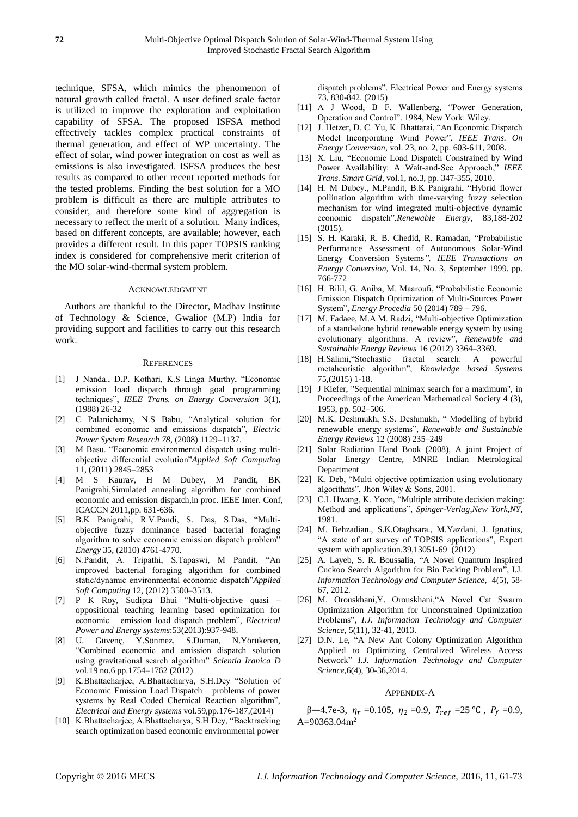technique, SFSA, which mimics the phenomenon of natural growth called fractal. A user defined scale factor is utilized to improve the exploration and exploitation capability of SFSA. The proposed ISFSA method effectively tackles complex practical constraints of thermal generation, and effect of WP uncertainty. The effect of solar, wind power integration on cost as well as emissions is also investigated. ISFSA produces the best results as compared to other recent reported methods for the tested problems. Finding the best solution for a MO problem is difficult as there are multiple attributes to consider, and therefore some kind of aggregation is necessary to reflect the merit of a solution. Many indices, based on different concepts, are available; however, each provides a different result. In this paper TOPSIS ranking index is considered for comprehensive merit criterion of the MO solar-wind-thermal system problem.

#### ACKNOWLEDGMENT

Authors are thankful to the Director, Madhav Institute of Technology & Science, Gwalior (M.P) India for providing support and facilities to carry out this research work.

#### **REFERENCES**

- [1] J Nanda., D.P. Kothari, K.S Linga Murthy, "Economic emission load dispatch through goal programming techniques", *IEEE Trans. on Energy Conversion* 3(1), (1988) 26-32
- [2] C Palanichamy, N.S Babu, "Analytical solution for combined economic and emissions dispatch", *Electric Power System Research 78*, (2008) 1129–1137.
- [3] M Basu. "Economic environmental dispatch using multiobjective differential evolution"*Applied Soft Computing*  11, (2011) 2845–2853
- [4] M S Kaurav, H M Dubey, M Pandit, BK Panigrah[i,Simulated annealing algorithm for combined](http://scholar.google.com/scholar?cluster=11102074255344668991&hl=en&oi=scholarr)  [economic and emission dispatch,](http://scholar.google.com/scholar?cluster=11102074255344668991&hl=en&oi=scholarr)in proc. IEEE Inter. Conf, ICACCN 2011,pp. 631-636.
- [5] B.K Panigrahi, R.V.Pandi, S. Das, S.Das, "Multiobjective fuzzy dominance based bacterial foraging algorithm to solve economic emission dispatch problem" *Energy* 35, (2010) 4761-4770.
- [6] N.Pandit, A. Tripathi, S.Tapaswi, M Pandit, "An improved bacterial foraging algorithm for combined static/dynamic environmental economic dispatch"*Applied Soft Computing* 12, (2012) 3500–3513.
- [7] P K Roy, Sudipta Bhui "Multi-objective quasi oppositional teaching learning based optimization for economic emission load dispatch problem", *Electrical Power and Energy systems*:53(2013):937-948.
- [8] U. Güvenç, Y.Sönmez, S.Duman, N.Yörükeren, "Combined economic and emission dispatch solution using gravitational search algorithm" *Scientia Iranica D* vol.19 no.6 pp.1754–1762 (2012)
- [9] K.Bhattacharjee, A.Bhattacharya, S.H.Dey "Solution of Economic Emission Load Dispatch problems of power systems by Real Coded Chemical Reaction algorithm", *Electrical and Energy systems* vol*.*59,pp.176-187,(2014)
- [10] K.Bhattacharjee, A.Bhattacharya, S.H.Dey, "Backtracking search optimization based economic environmental power

dispatch problems". Electrical Power and Energy systems 73, 830-842. (2015)

- [11] A J Wood, B F. Wallenberg, "Power Generation, Operation and Control". 1984, New York: Wiley.
- [12] J. Hetzer, D. C. Yu, K. Bhattarai, "An Economic Dispatch Model Incorporating Wind Power", *IEEE Trans. On Energy Conversion*, vol. 23, no. 2, pp. 603-611, 2008.
- [13] X. Liu, "Economic Load Dispatch Constrained by Wind Power Availability: A Wait-and-See Approach," *IEEE Trans. Smart Grid*, vol.1, no.3, pp. 347-355, 2010.
- [14] H. M Dubey., M.Pandit, B.K Panigrahi, "Hybrid flower pollination algorithm with time-varying fuzzy selection mechanism for wind integrated multi-objective dynamic economic dispatch",*Renewable Energy*, 83,188-202 (2015).
- [15] S. H. Karaki, R. B. Chedid, R. Ramadan, "Probabilistic Performance Assessment of Autonomous Solar-Wind Energy Conversion Systems*", IEEE Transactions on Energy Conversion*, Vol. 14, No. 3, September 1999. pp. 766-772
- [16] H. Bilil, G. Aniba, M. Maaroufi, "Probabilistic Economic Emission Dispatch Optimization of Multi-Sources Power System", *Energy Procedia* 50 (2014) 789 – 796.
- [17] M. Fadaee, M.A.M. Radzi, "Multi-objective Optimization of a stand-alone hybrid renewable energy system by using evolutionary algorithms: A review", *Renewable and Sustainable Energy Reviews* 16 (2012) 3364–3369.
- [18] H.Salimi,"Stochastic fractal search: A powerful metaheuristic algorithm", *Knowledge based Systems* 75,(2015) 1-18.
- [19] [J Kiefer,](https://en.wikipedia.org/wiki/Jack_Kiefer_(mathematician)) "Sequential minimax search for a maximum", in [Proceedings of the American Mathematical Society](https://en.wikipedia.org/wiki/Proceedings_of_the_American_Mathematical_Society) **4** (3), 1953, pp. 502–506.
- [20] M.K. Deshmukh, S.S. Deshmukh, " Modelling of hybrid renewable energy systems", *Renewable and Sustainable Energy Reviews* 12 (2008) 235–249
- [21] Solar Radiation Hand Book (2008), A joint Project of Solar Energy Centre, MNRE Indian Metrological **Department**
- [22] K. Deb, "Multi objective optimization using evolutionary algorithms", Jhon Wiley & Sons, 2001.
- [23] C.L Hwang, K. Yoon, "Multiple attribute decision making: Method and applications", *Spinger-Verlag,New York,NY*, 1981.
- [24] M. Behzadian., S.K.Otaghsara., M.Yazdani, J. Ignatius, "A state of art survey of TOPSIS applications", Expert system with application.39,13051-69 (2012)
- [25] A. Layeb, S. R. Boussalia, "A Novel Quantum Inspired Cuckoo Search Algorithm for Bin Packing Problem", I.J*. Information Technology and Computer Science,* 4(5), 58- 67, 2012.
- [26] M. Orouskhani,Y. Orouskhani,"A Novel Cat Swarm Optimization Algorithm for Unconstrained Optimization Problems", *I.J. Information Technology and Computer Science,* 5(11), 32-41, 2013.
- [27] D.N. Le, "A New Ant Colony Optimization Algorithm Applied to Optimizing Centralized Wireless Access Network" *I.J. Information Technology and Computer Science,*6(4), 30-36,2014.

#### APPENDIX-A

β=-4.7e-3,  $η<sub>r</sub> = 0.105$ ,  $η<sub>2</sub> = 0.9$ ,  $T<sub>ref</sub> = 25 °C$ ,  $P<sub>f</sub> = 0.9$ , A= $90363.04$ m<sup>2</sup>